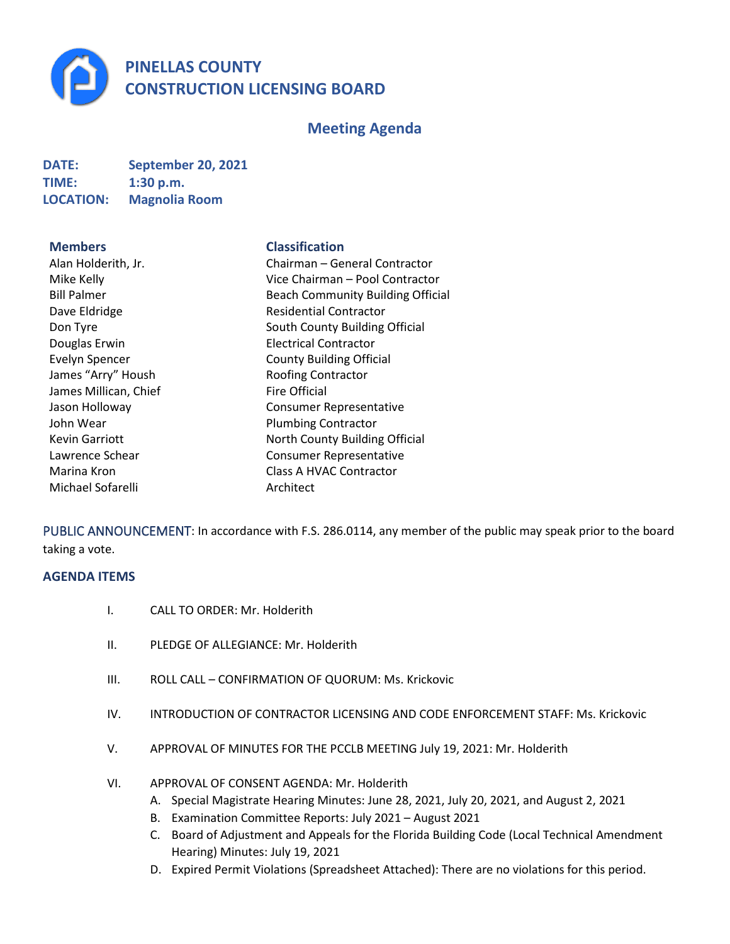

# **Meeting Agenda**

| <b>DATE:</b>     | <b>September 20, 2021</b> |
|------------------|---------------------------|
| <b>TIME:</b>     | 1:30 p.m.                 |
| <b>LOCATION:</b> | <b>Magnolia Room</b>      |

#### **Members Classification**

| Alan Holderith, Jr.   |
|-----------------------|
| Mike Kelly            |
| <b>Bill Palmer</b>    |
| Dave Eldridge         |
| Don Tyre              |
| Douglas Erwin         |
| <b>Evelyn Spencer</b> |
| James "Arry" Housh    |
| James Millican, Chief |
| Jason Holloway        |
| John Wear             |
| <b>Kevin Garriott</b> |
| Lawrence Schear       |
| Marina Kron           |
| Michael Sofarelli     |
|                       |

Chairman – General Contractor Vice Chairman – Pool Contractor Beach Community Building Official Residential Contractor South County Building Official **Electrical Contractor** County Building Official Roofing Contractor **Fire Official** Consumer Representative Plumbing Contractor North County Building Official Consumer Representative Class A HVAC Contractor Architect

PUBLIC ANNOUNCEMENT: In accordance with F.S. 286.0114, any member of the public may speak prior to the board taking a vote.

## **AGENDA ITEMS**

- I. CALL TO ORDER: Mr. Holderith
- II. PLEDGE OF ALLEGIANCE: Mr. Holderith
- III. ROLL CALL CONFIRMATION OF QUORUM: Ms. Krickovic
- IV. INTRODUCTION OF CONTRACTOR LICENSING AND CODE ENFORCEMENT STAFF: Ms. Krickovic
- V. APPROVAL OF MINUTES FOR THE PCCLB MEETING July 19, 2021: Mr. Holderith
- VI. APPROVAL OF CONSENT AGENDA: Mr. Holderith
	- A. Special Magistrate Hearing Minutes: June 28, 2021, July 20, 2021, and August 2, 2021
	- B. Examination Committee Reports: July 2021 August 2021
	- C. Board of Adjustment and Appeals for the Florida Building Code (Local Technical Amendment Hearing) Minutes: July 19, 2021
	- D. Expired Permit Violations (Spreadsheet Attached): There are no violations for this period.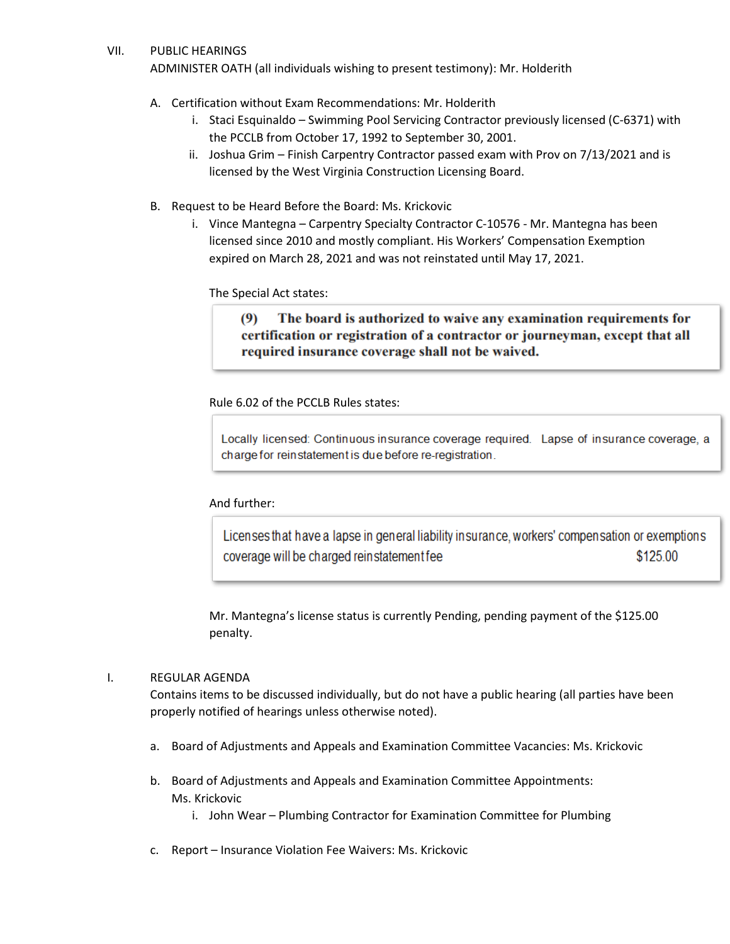#### VII. PUBLIC HEARINGS

ADMINISTER OATH (all individuals wishing to present testimony): Mr. Holderith

- A. Certification without Exam Recommendations: Mr. Holderith
	- i. Staci Esquinaldo Swimming Pool Servicing Contractor previously licensed (C-6371) with the PCCLB from October 17, 1992 to September 30, 2001.
	- ii. Joshua Grim Finish Carpentry Contractor passed exam with Prov on 7/13/2021 and is licensed by the West Virginia Construction Licensing Board.
- B. Request to be Heard Before the Board: Ms. Krickovic
	- i. Vince Mantegna Carpentry Specialty Contractor C-10576 Mr. Mantegna has been licensed since 2010 and mostly compliant. His Workers' Compensation Exemption expired on March 28, 2021 and was not reinstated until May 17, 2021.

The Special Act states:

The board is authorized to waive any examination requirements for  $(9)$ certification or registration of a contractor or journeyman, except that all required insurance coverage shall not be waived.

Rule 6.02 of the PCCLB Rules states:

Locally licensed: Continuous insurance coverage required. Lapse of insurance coverage, a charge for reinstatement is due before re-registration.

### And further:

Licenses that have a lapse in general liability insurance, workers' compensation or exemptions coverage will be charged reinstatement fee \$125.00

Mr. Mantegna's license status is currently Pending, pending payment of the \$125.00 penalty.

### I. REGULAR AGENDA

Contains items to be discussed individually, but do not have a public hearing (all parties have been properly notified of hearings unless otherwise noted).

- a. Board of Adjustments and Appeals and Examination Committee Vacancies: Ms. Krickovic
- b. Board of Adjustments and Appeals and Examination Committee Appointments: Ms. Krickovic
	- i. John Wear Plumbing Contractor for Examination Committee for Plumbing
- c. Report Insurance Violation Fee Waivers: Ms. Krickovic